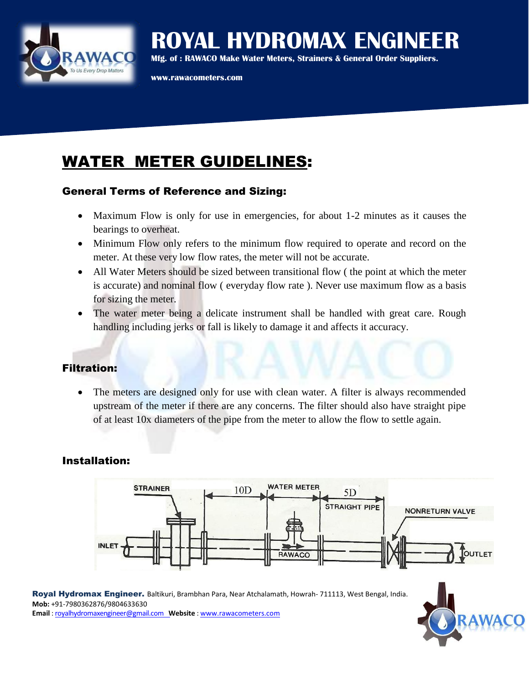

# **ROYAL HYDROMAX ENGINEER**

**Mfg. of : RAWACO Make Water Meters, Strainers & General Order Suppliers.**

**www.rawacometers.com**

## WATER METER GUIDELINES:

### General Terms of Reference and Sizing:

- Maximum Flow is only for use in emergencies, for about 1-2 minutes as it causes the bearings to overheat.
- Minimum Flow only refers to the minimum flow required to operate and record on the meter. At these very low flow rates, the meter will not be accurate.
- All Water Meters should be sized between transitional flow ( the point at which the meter is accurate) and nominal flow ( everyday flow rate ). Never use maximum flow as a basis for sizing the meter.
- The water meter being a delicate instrument shall be handled with great care. Rough handling including jerks or fall is likely to damage it and affects it accuracy.

## Filtration:

 The meters are designed only for use with clean water. A filter is always recommended upstream of the meter if there are any concerns. The filter should also have straight pipe of at least 10x diameters of the pipe from the meter to allow the flow to settle again.

## Installation:



Royal Hydromax Engineer. Baltikuri, Brambhan Para, Near Atchalamath, Howrah- 711113, West Bengal, India. **Mob:** +91-7980362876/9804633630 **Email** : royalhydromaxengineer@gmail.com **Website** : www.rawacometers.com

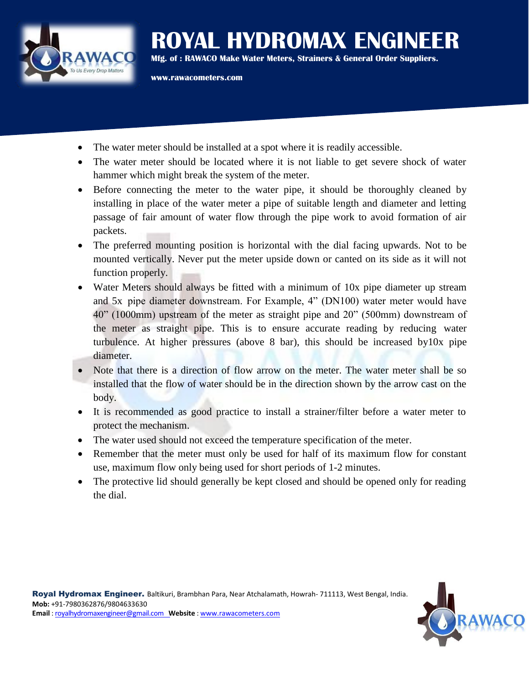

**ROYAL HYDROMAX ENGINEER Mfg. of : RAWACO Make Water Meters, Strainers & General Order Suppliers.**

**www.rawacometers.com**

- The water meter should be installed at a spot where it is readily accessible.
- The water meter should be located where it is not liable to get severe shock of water hammer which might break the system of the meter.
- Before connecting the meter to the water pipe, it should be thoroughly cleaned by installing in place of the water meter a pipe of suitable length and diameter and letting passage of fair amount of water flow through the pipe work to avoid formation of air packets.
- The preferred mounting position is horizontal with the dial facing upwards. Not to be mounted vertically. Never put the meter upside down or canted on its side as it will not function properly.
- Water Meters should always be fitted with a minimum of 10x pipe diameter up stream and 5x pipe diameter downstream. For Example, 4" (DN100) water meter would have 40" (1000mm) upstream of the meter as straight pipe and 20" (500mm) downstream of the meter as straight pipe. This is to ensure accurate reading by reducing water turbulence. At higher pressures (above 8 bar), this should be increased by10x pipe diameter.
- Note that there is a direction of flow arrow on the meter. The water meter shall be so installed that the flow of water should be in the direction shown by the arrow cast on the body.
- It is recommended as good practice to install a strainer/filter before a water meter to protect the mechanism.
- The water used should not exceed the temperature specification of the meter.
- Remember that the meter must only be used for half of its maximum flow for constant use, maximum flow only being used for short periods of 1-2 minutes.
- The protective lid should generally be kept closed and should be opened only for reading the dial.